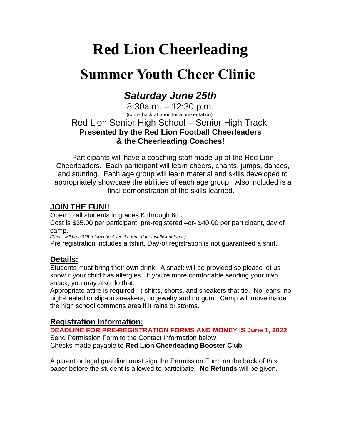# **Red Lion Cheerleading**

## **Summer Youth Cheer Clinic**

### *Saturday June 25th*

8:30a.m. – 12:30 p.m. (come back at noon for a presentation) Red Lion Senior High School – Senior High Track **Presented by the Red Lion Football Cheerleaders & the Cheerleading Coaches!**

Participants will have a coaching staff made up of the Red Lion Cheerleaders. Each participant will learn cheers, chants, jumps, dances, and stunting. Each age group will learn material and skills developed to appropriately showcase the abilities of each age group. Also included is a final demonstration of the skills learned.

#### **JOIN THE FUN!!**

Open to all students in grades K through 6th.

Cost is \$35.00 per participant, pre-registered –or- \$40.00 per participant, day of camp.

*(There will be a \$25 return check fee if returned for insufficient funds)*

Pre registration includes a tshirt. Day-of registration is not guaranteed a shirt.

#### **Details:**

Students must bring their own drink. A snack will be provided so please let us know if your child has allergies. If you're more comfortable sending your own snack, you may also do that.

Appropriate attire is required - t-shirts, shorts, and sneakers that tie. No jeans, no high-heeled or slip-on sneakers, no jewelry and no gum. Camp will move inside the high school commons area if it rains or storms.

#### **Registration Information:**

**DEADLINE FOR PRE-REGISTRATION FORMS AND MONEY IS June 1, 2022** Send Permission Form to the Contact Information below. Checks made payable to **Red Lion Cheerleading Booster Club.**

A parent or legal guardian must sign the Permission Form on the back of this paper before the student is allowed to participate. **No Refunds** will be given.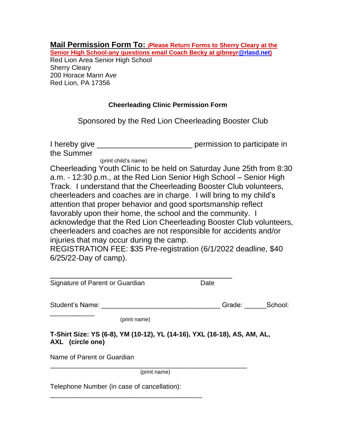| Mail Permission Form To: (Please Return Forms to Sherry Cleary at the    |  |  |
|--------------------------------------------------------------------------|--|--|
| Senior High School-any questions email Coach Becky at gibneyr@rlasd.net) |  |  |

Red Lion Area Senior High School Sherry Cleary 200 Horace Mann Ave Red Lion, PA 17356

#### **Cheerleading Clinic Permission Form**

Sponsored by the Red Lion Cheerleading Booster Club

| I hereby give | permission to participate in |
|---------------|------------------------------|
| the Summer    |                              |

(print child's name)

\_\_\_\_\_\_\_\_\_\_\_\_\_\_\_\_\_\_\_\_\_\_\_\_\_\_\_\_\_\_\_\_\_\_\_\_\_\_\_\_\_

Cheerleading Youth Clinic to be held on Saturday June 25th from 8:30 a.m. - 12:30 p.m., at the Red Lion Senior High School – Senior High Track. I understand that the Cheerleading Booster Club volunteers, cheerleaders and coaches are in charge. I will bring to my child's attention that proper behavior and good sportsmanship reflect favorably upon their home, the school and the community. I acknowledge that the Red Lion Cheerleading Booster Club volunteers, cheerleaders and coaches are not responsible for accidents and/or injuries that may occur during the camp.

REGISTRATION FEE: \$35 Pre-registration (6/1/2022 deadline, \$40 6/25/22-Day of camp).

| Signature of Parent or Guardian                                                              | Date              |
|----------------------------------------------------------------------------------------------|-------------------|
| Student's Name:                                                                              | School:<br>Grade: |
| (print name)                                                                                 |                   |
| T-Shirt Size: YS (6-8), YM (10-12), YL (14-16), YXL (16-18), AS, AM, AL,<br>AXL (circle one) |                   |
| Name of Parent or Guardian                                                                   |                   |
| (print name)                                                                                 |                   |
| Telephone Number (in case of cancellation):                                                  |                   |